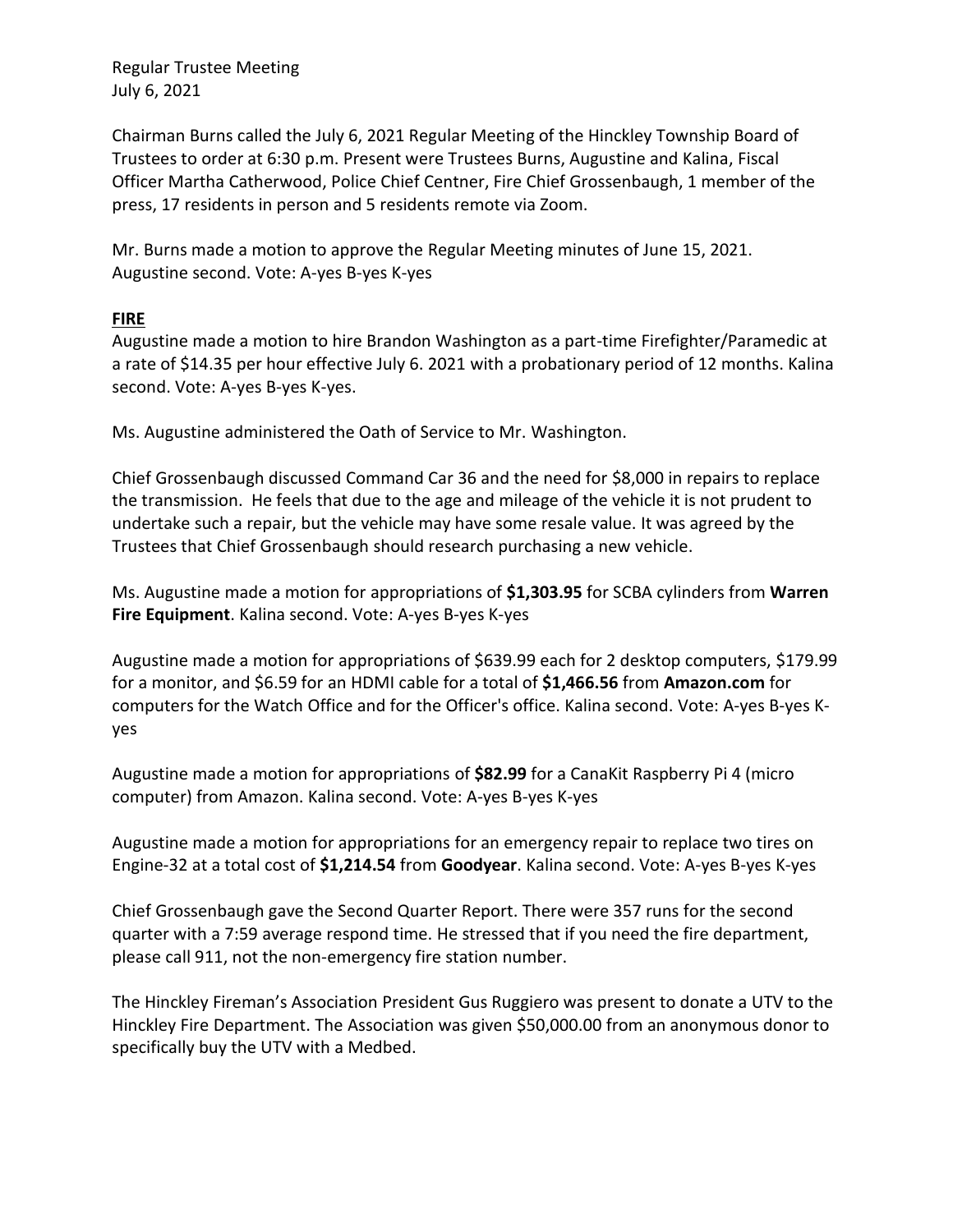Chairman Burns called the July 6, 2021 Regular Meeting of the Hinckley Township Board of Trustees to order at 6:30 p.m. Present were Trustees Burns, Augustine and Kalina, Fiscal Officer Martha Catherwood, Police Chief Centner, Fire Chief Grossenbaugh, 1 member of the press, 17 residents in person and 5 residents remote via Zoom.

Mr. Burns made a motion to approve the Regular Meeting minutes of June 15, 2021. Augustine second. Vote: A-yes B-yes K-yes

## **FIRE**

Augustine made a motion to hire Brandon Washington as a part-time Firefighter/Paramedic at a rate of \$14.35 per hour effective July 6. 2021 with a probationary period of 12 months. Kalina second. Vote: A-yes B-yes K-yes.

Ms. Augustine administered the Oath of Service to Mr. Washington.

Chief Grossenbaugh discussed Command Car 36 and the need for \$8,000 in repairs to replace the transmission. He feels that due to the age and mileage of the vehicle it is not prudent to undertake such a repair, but the vehicle may have some resale value. It was agreed by the Trustees that Chief Grossenbaugh should research purchasing a new vehicle.

Ms. Augustine made a motion for appropriations of **\$1,303.95** for SCBA cylinders from **Warren Fire Equipment**. Kalina second. Vote: A-yes B-yes K-yes

Augustine made a motion for appropriations of \$639.99 each for 2 desktop computers, \$179.99 for a monitor, and \$6.59 for an HDMI cable for a total of **\$1,466.56** from **Amazon.com** for computers for the Watch Office and for the Officer's office. Kalina second. Vote: A-yes B-yes Kyes

Augustine made a motion for appropriations of **\$82.99** for a CanaKit Raspberry Pi 4 (micro computer) from Amazon. Kalina second. Vote: A-yes B-yes K-yes

Augustine made a motion for appropriations for an emergency repair to replace two tires on Engine-32 at a total cost of **\$1,214.54** from **Goodyear**. Kalina second. Vote: A-yes B-yes K-yes

Chief Grossenbaugh gave the Second Quarter Report. There were 357 runs for the second quarter with a 7:59 average respond time. He stressed that if you need the fire department, please call 911, not the non-emergency fire station number.

The Hinckley Fireman's Association President Gus Ruggiero was present to donate a UTV to the Hinckley Fire Department. The Association was given \$50,000.00 from an anonymous donor to specifically buy the UTV with a Medbed.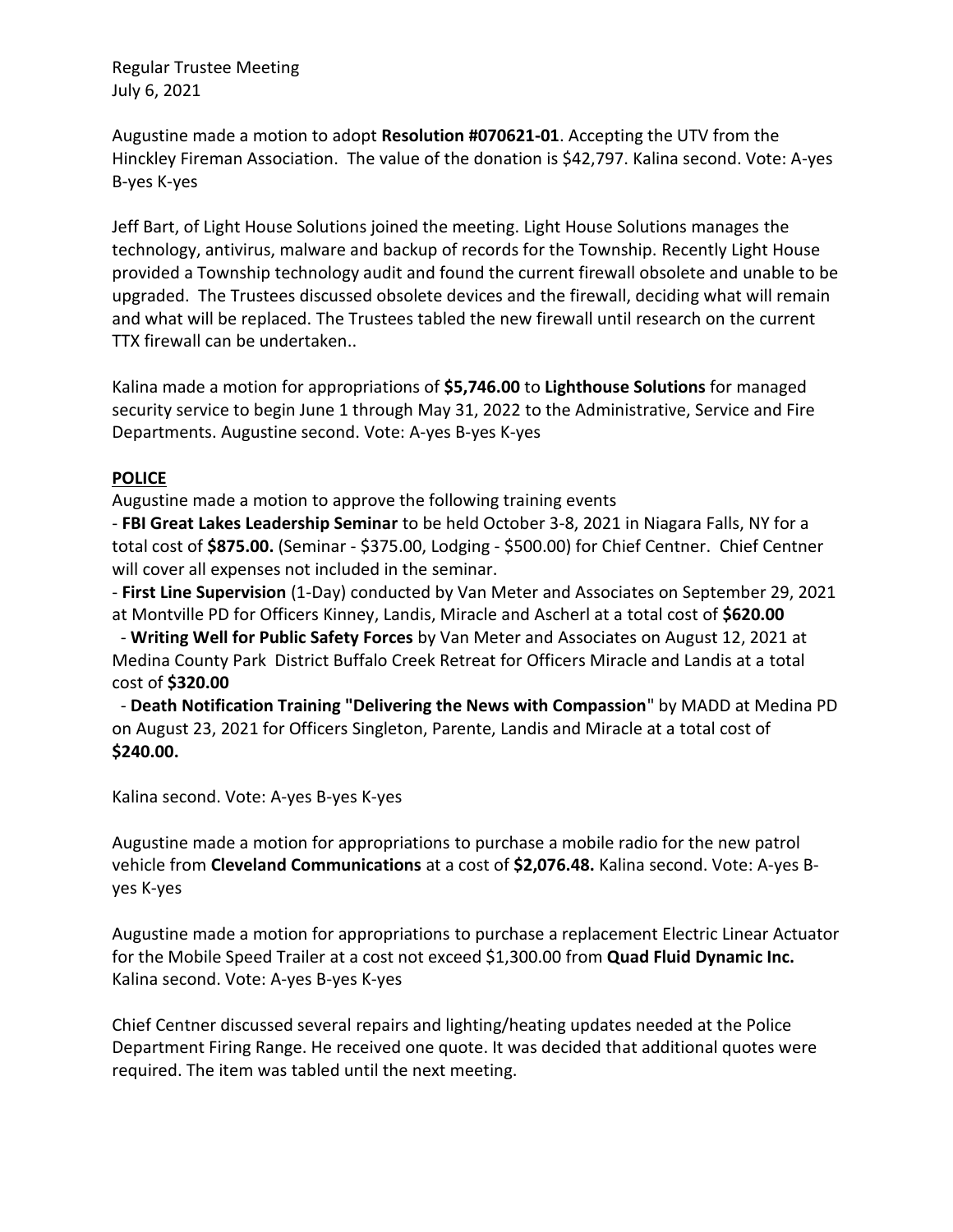Augustine made a motion to adopt **Resolution #070621-01**. Accepting the UTV from the Hinckley Fireman Association. The value of the donation is \$42,797. Kalina second. Vote: A-yes B-yes K-yes

Jeff Bart, of Light House Solutions joined the meeting. Light House Solutions manages the technology, antivirus, malware and backup of records for the Township. Recently Light House provided a Township technology audit and found the current firewall obsolete and unable to be upgraded. The Trustees discussed obsolete devices and the firewall, deciding what will remain and what will be replaced. The Trustees tabled the new firewall until research on the current TTX firewall can be undertaken..

Kalina made a motion for appropriations of **\$5,746.00** to **Lighthouse Solutions** for managed security service to begin June 1 through May 31, 2022 to the Administrative, Service and Fire Departments. Augustine second. Vote: A-yes B-yes K-yes

# **POLICE**

Augustine made a motion to approve the following training events

- **FBI Great Lakes Leadership Seminar** to be held October 3-8, 2021 in Niagara Falls, NY for a total cost of **\$875.00.** (Seminar - \$375.00, Lodging - \$500.00) for Chief Centner. Chief Centner will cover all expenses not included in the seminar.

- **First Line Supervision** (1-Day) conducted by Van Meter and Associates on September 29, 2021 at Montville PD for Officers Kinney, Landis, Miracle and Ascherl at a total cost of **\$620.00**

 - **Writing Well for Public Safety Forces** by Van Meter and Associates on August 12, 2021 at Medina County Park District Buffalo Creek Retreat for Officers Miracle and Landis at a total cost of **\$320.00**

 - **Death Notification Training "Delivering the News with Compassion**" by MADD at Medina PD on August 23, 2021 for Officers Singleton, Parente, Landis and Miracle at a total cost of **\$240.00.**

Kalina second. Vote: A-yes B-yes K-yes

Augustine made a motion for appropriations to purchase a mobile radio for the new patrol vehicle from **Cleveland Communications** at a cost of **\$2,076.48.** Kalina second. Vote: A-yes Byes K-yes

Augustine made a motion for appropriations to purchase a replacement Electric Linear Actuator for the Mobile Speed Trailer at a cost not exceed \$1,300.00 from **Quad Fluid Dynamic Inc.** Kalina second. Vote: A-yes B-yes K-yes

Chief Centner discussed several repairs and lighting/heating updates needed at the Police Department Firing Range. He received one quote. It was decided that additional quotes were required. The item was tabled until the next meeting.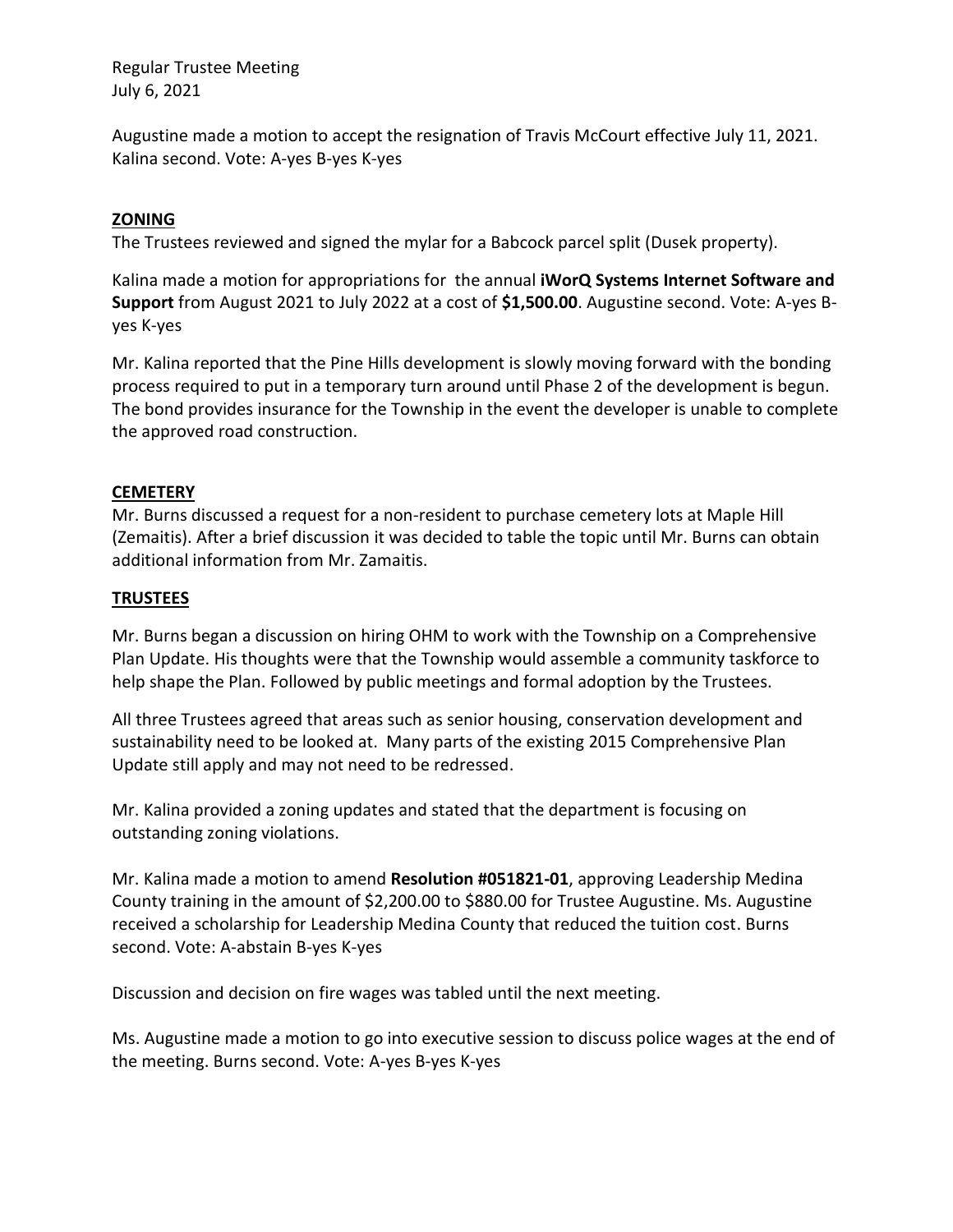Augustine made a motion to accept the resignation of Travis McCourt effective July 11, 2021. Kalina second. Vote: A-yes B-yes K-yes

### **ZONING**

The Trustees reviewed and signed the mylar for a Babcock parcel split (Dusek property).

Kalina made a motion for appropriations for the annual **iWorQ Systems Internet Software and Support** from August 2021 to July 2022 at a cost of **\$1,500.00**. Augustine second. Vote: A-yes Byes K-yes

Mr. Kalina reported that the Pine Hills development is slowly moving forward with the bonding process required to put in a temporary turn around until Phase 2 of the development is begun. The bond provides insurance for the Township in the event the developer is unable to complete the approved road construction.

## **CEMETERY**

Mr. Burns discussed a request for a non-resident to purchase cemetery lots at Maple Hill (Zemaitis). After a brief discussion it was decided to table the topic until Mr. Burns can obtain additional information from Mr. Zamaitis.

#### **TRUSTEES**

Mr. Burns began a discussion on hiring OHM to work with the Township on a Comprehensive Plan Update. His thoughts were that the Township would assemble a community taskforce to help shape the Plan. Followed by public meetings and formal adoption by the Trustees.

All three Trustees agreed that areas such as senior housing, conservation development and sustainability need to be looked at. Many parts of the existing 2015 Comprehensive Plan Update still apply and may not need to be redressed.

Mr. Kalina provided a zoning updates and stated that the department is focusing on outstanding zoning violations.

Mr. Kalina made a motion to amend **Resolution #051821-01**, approving Leadership Medina County training in the amount of \$2,200.00 to \$880.00 for Trustee Augustine. Ms. Augustine received a scholarship for Leadership Medina County that reduced the tuition cost. Burns second. Vote: A-abstain B-yes K-yes

Discussion and decision on fire wages was tabled until the next meeting.

Ms. Augustine made a motion to go into executive session to discuss police wages at the end of the meeting. Burns second. Vote: A-yes B-yes K-yes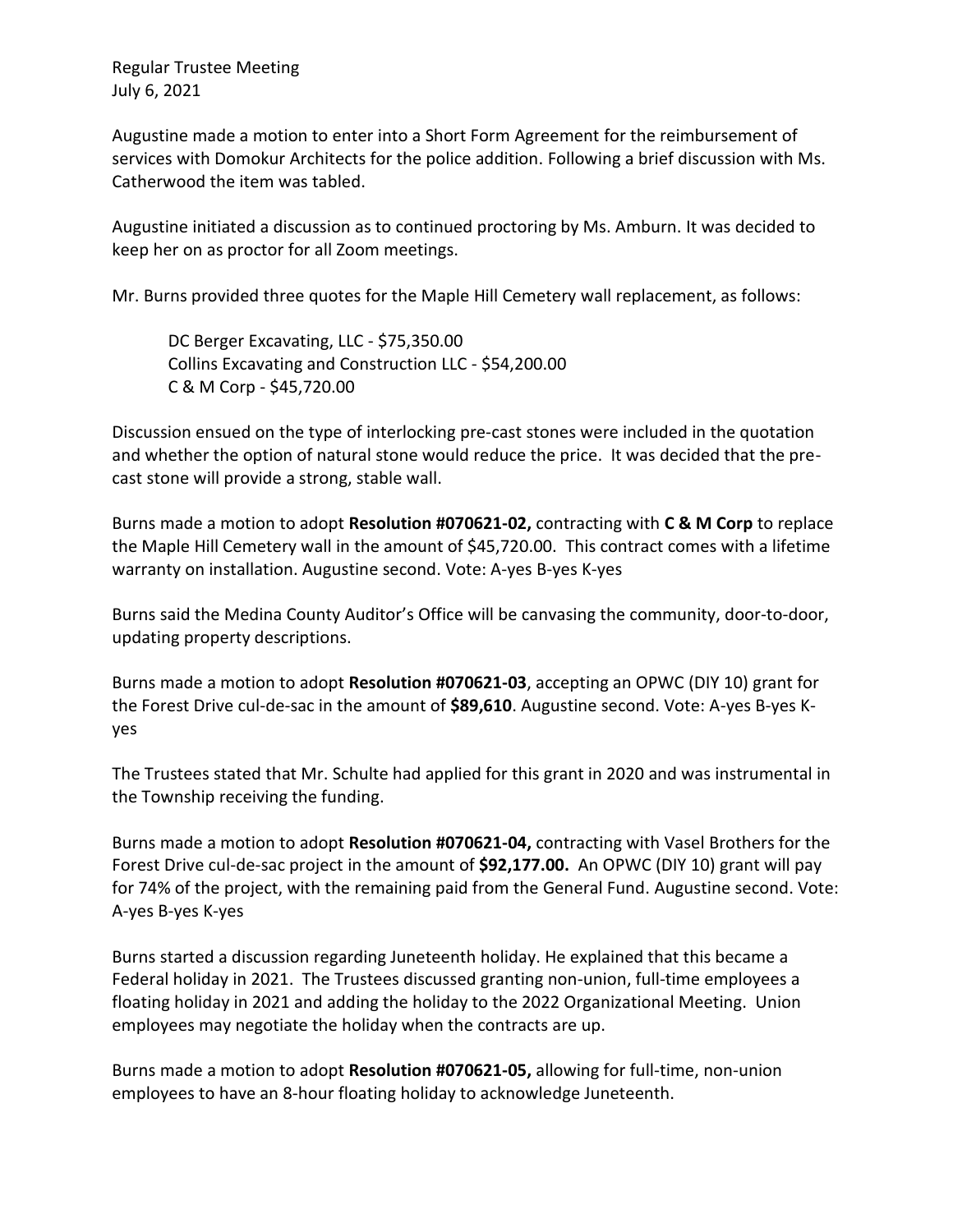Augustine made a motion to enter into a Short Form Agreement for the reimbursement of services with Domokur Architects for the police addition. Following a brief discussion with Ms. Catherwood the item was tabled.

Augustine initiated a discussion as to continued proctoring by Ms. Amburn. It was decided to keep her on as proctor for all Zoom meetings.

Mr. Burns provided three quotes for the Maple Hill Cemetery wall replacement, as follows:

DC Berger Excavating, LLC - \$75,350.00 Collins Excavating and Construction LLC - \$54,200.00 C & M Corp - \$45,720.00

Discussion ensued on the type of interlocking pre-cast stones were included in the quotation and whether the option of natural stone would reduce the price. It was decided that the precast stone will provide a strong, stable wall.

Burns made a motion to adopt **Resolution #070621-02,** contracting with **C & M Corp** to replace the Maple Hill Cemetery wall in the amount of \$45,720.00. This contract comes with a lifetime warranty on installation. Augustine second. Vote: A-yes B-yes K-yes

Burns said the Medina County Auditor's Office will be canvasing the community, door-to-door, updating property descriptions.

Burns made a motion to adopt **Resolution #070621-03**, accepting an OPWC (DIY 10) grant for the Forest Drive cul-de-sac in the amount of **\$89,610**. Augustine second. Vote: A-yes B-yes Kyes

The Trustees stated that Mr. Schulte had applied for this grant in 2020 and was instrumental in the Township receiving the funding.

Burns made a motion to adopt **Resolution #070621-04,** contracting with Vasel Brothers for the Forest Drive cul-de-sac project in the amount of **\$92,177.00.** An OPWC (DIY 10) grant will pay for 74% of the project, with the remaining paid from the General Fund. Augustine second. Vote: A-yes B-yes K-yes

Burns started a discussion regarding Juneteenth holiday. He explained that this became a Federal holiday in 2021. The Trustees discussed granting non-union, full-time employees a floating holiday in 2021 and adding the holiday to the 2022 Organizational Meeting. Union employees may negotiate the holiday when the contracts are up.

Burns made a motion to adopt **Resolution #070621-05,** allowing for full-time, non-union employees to have an 8-hour floating holiday to acknowledge Juneteenth.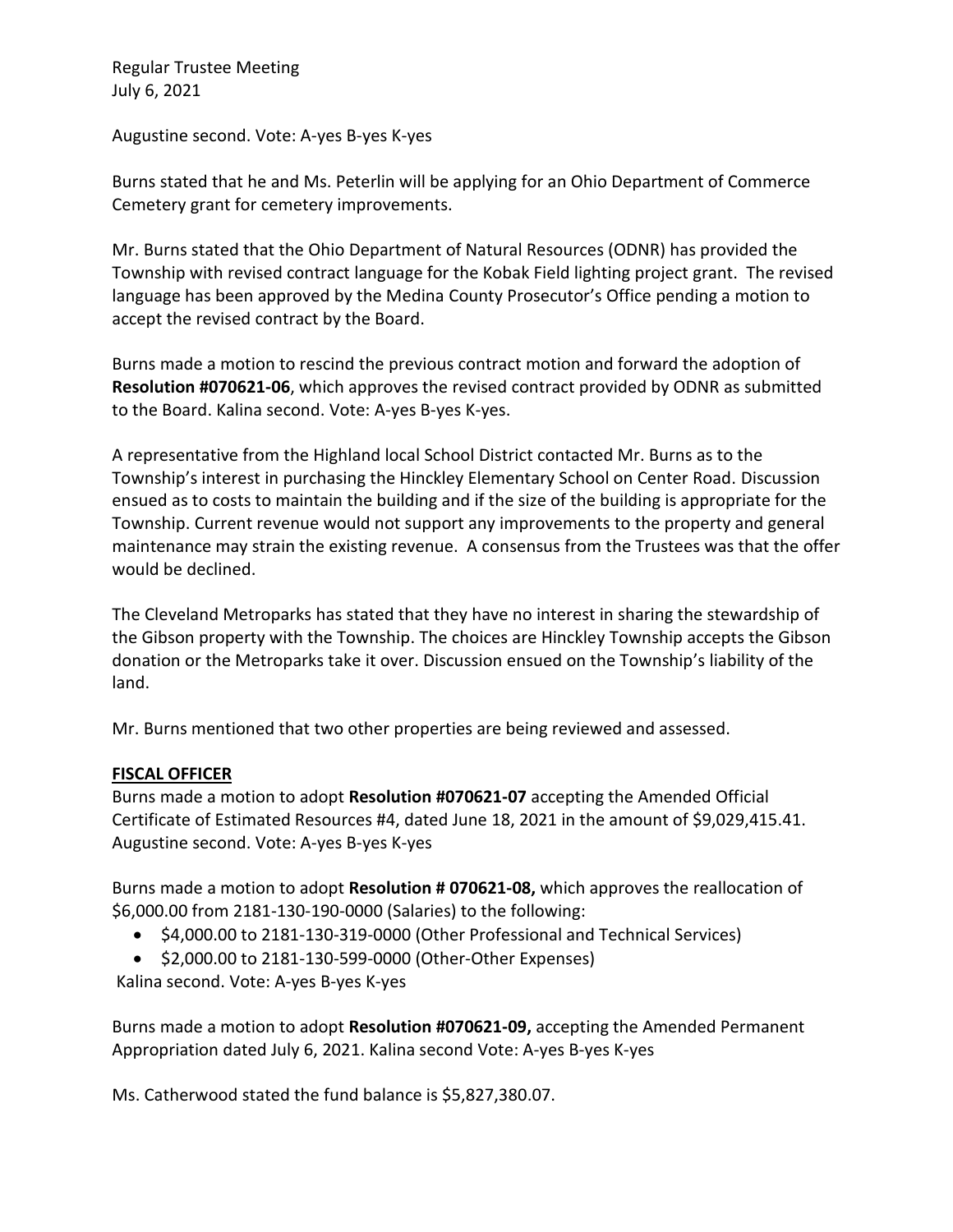Augustine second. Vote: A-yes B-yes K-yes

Burns stated that he and Ms. Peterlin will be applying for an Ohio Department of Commerce Cemetery grant for cemetery improvements.

Mr. Burns stated that the Ohio Department of Natural Resources (ODNR) has provided the Township with revised contract language for the Kobak Field lighting project grant. The revised language has been approved by the Medina County Prosecutor's Office pending a motion to accept the revised contract by the Board.

Burns made a motion to rescind the previous contract motion and forward the adoption of **Resolution #070621-06**, which approves the revised contract provided by ODNR as submitted to the Board. Kalina second. Vote: A-yes B-yes K-yes.

A representative from the Highland local School District contacted Mr. Burns as to the Township's interest in purchasing the Hinckley Elementary School on Center Road. Discussion ensued as to costs to maintain the building and if the size of the building is appropriate for the Township. Current revenue would not support any improvements to the property and general maintenance may strain the existing revenue. A consensus from the Trustees was that the offer would be declined.

The Cleveland Metroparks has stated that they have no interest in sharing the stewardship of the Gibson property with the Township. The choices are Hinckley Township accepts the Gibson donation or the Metroparks take it over. Discussion ensued on the Township's liability of the land.

Mr. Burns mentioned that two other properties are being reviewed and assessed.

# **FISCAL OFFICER**

Burns made a motion to adopt **Resolution #070621-07** accepting the Amended Official Certificate of Estimated Resources #4, dated June 18, 2021 in the amount of \$9,029,415.41. Augustine second. Vote: A-yes B-yes K-yes

Burns made a motion to adopt **Resolution # 070621-08,** which approves the reallocation of \$6,000.00 from 2181-130-190-0000 (Salaries) to the following:

- \$4,000.00 to 2181-130-319-0000 (Other Professional and Technical Services)
- \$2,000.00 to 2181-130-599-0000 (Other-Other Expenses)

Kalina second. Vote: A-yes B-yes K-yes

Burns made a motion to adopt **Resolution #070621-09,** accepting the Amended Permanent Appropriation dated July 6, 2021. Kalina second Vote: A-yes B-yes K-yes

Ms. Catherwood stated the fund balance is \$5,827,380.07.